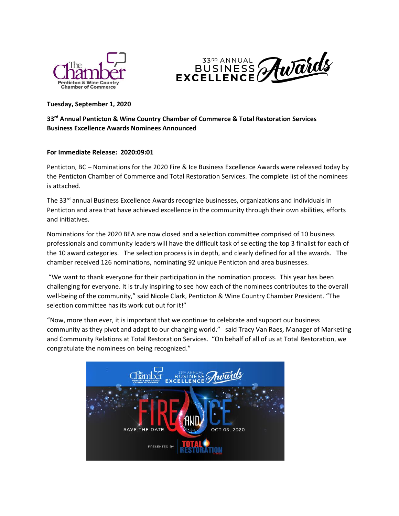



# **Tuesday, September 1, 2020**

# **33rd Annual Penticton & Wine Country Chamber of Commerce & Total Restoration Services Business Excellence Awards Nominees Announced**

# **For Immediate Release: 2020:09:01**

Penticton, BC – Nominations for the 2020 Fire & Ice Business Excellence Awards were released today by the Penticton Chamber of Commerce and Total Restoration Services. The complete list of the nominees is attached.

The 33<sup>rd</sup> annual Business Excellence Awards recognize businesses, organizations and individuals in Penticton and area that have achieved excellence in the community through their own abilities, efforts and initiatives.

Nominations for the 2020 BEA are now closed and a selection committee comprised of 10 business professionals and community leaders will have the difficult task of selecting the top 3 finalist for each of the 10 award categories. The selection process is in depth, and clearly defined for all the awards. The chamber received 126 nominations, nominating 92 unique Penticton and area businesses.

"We want to thank everyone for their participation in the nomination process. This year has been challenging for everyone. It is truly inspiring to see how each of the nominees contributes to the overall well-being of the community," said Nicole Clark, Penticton & Wine Country Chamber President. "The selection committee has its work cut out for it!"

"Now, more than ever, it is important that we continue to celebrate and support our business community as they pivot and adapt to our changing world." said Tracy Van Raes, Manager of Marketing and Community Relations at Total Restoration Services. "On behalf of all of us at Total Restoration, we congratulate the nominees on being recognized."

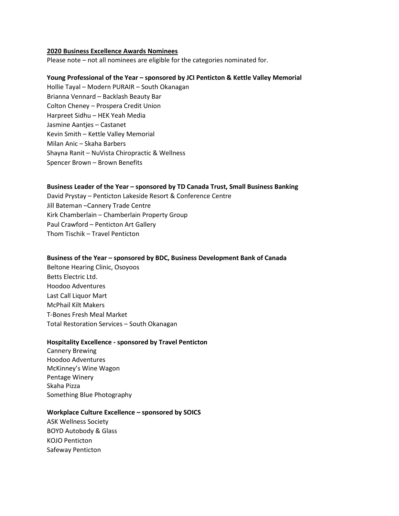#### **2020 Business Excellence Awards Nominees**

Please note – not all nominees are eligible for the categories nominated for.

# **Young Professional of the Year – sponsored by JCI Penticton & Kettle Valley Memorial**

Hollie Tayal – Modern PURAIR – South Okanagan Brianna Vennard – Backlash Beauty Bar Colton Cheney – Prospera Credit Union Harpreet Sidhu – HEK Yeah Media Jasmine Aantjes – Castanet Kevin Smith – Kettle Valley Memorial Milan Anic – Skaha Barbers Shayna Ranit – NuVista Chiropractic & Wellness Spencer Brown – Brown Benefits

# **Business Leader of the Year – sponsored by TD Canada Trust, Small Business Banking**

David Prystay – Penticton Lakeside Resort & Conference Centre Jill Bateman –Cannery Trade Centre Kirk Chamberlain – Chamberlain Property Group Paul Crawford – Penticton Art Gallery Thom Tischik – Travel Penticton

## **Business of the Year – sponsored by BDC, Business Development Bank of Canada**

Beltone Hearing Clinic, Osoyoos Betts Electric Ltd. Hoodoo Adventures Last Call Liquor Mart McPhail Kilt Makers T-Bones Fresh Meal Market Total Restoration Services – South Okanagan

# **Hospitality Excellence - sponsored by Travel Penticton**

Cannery Brewing Hoodoo Adventures McKinney's Wine Wagon Pentage Winery Skaha Pizza Something Blue Photography

## **Workplace Culture Excellence – sponsored by SOICS**

ASK Wellness Society BOYD Autobody & Glass KOJO Penticton Safeway Penticton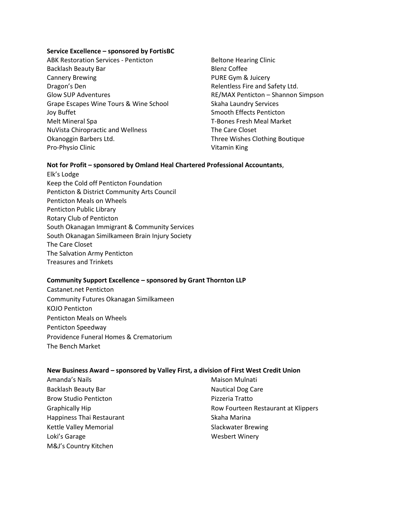## **Service Excellence – sponsored by FortisBC**

- ABK Restoration Services Penticton Backlash Beauty Bar Cannery Brewing Dragon's Den Glow SUP Adventures Grape Escapes Wine Tours & Wine School Joy Buffet Melt Mineral Spa NuVista Chiropractic and Wellness Okanoggin Barbers Ltd. Pro-Physio Clinic
- Beltone Hearing Clinic Blenz Coffee PURE Gym & Juicery Relentless Fire and Safety Ltd. RE/MAX Penticton – Shannon Simpson Skaha Laundry Services Smooth Effects Penticton T-Bones Fresh Meal Market The Care Closet Three Wishes Clothing Boutique Vitamin King

# **Not for Profit – sponsored by Omland Heal Chartered Professional Accountants**,

Elk's Lodge Keep the Cold off Penticton Foundation Penticton & District Community Arts Council Penticton Meals on Wheels Penticton Public Library Rotary Club of Penticton South Okanagan Immigrant & Community Services South Okanagan Similkameen Brain Injury Society The Care Closet The Salvation Army Penticton Treasures and Trinkets

#### **Community Support Excellence – sponsored by Grant Thornton LLP**

Castanet.net Penticton Community Futures Okanagan Similkameen KOJO Penticton Penticton Meals on Wheels Penticton Speedway Providence Funeral Homes & Crematorium The Bench Market

# **New Business Award – sponsored by Valley First, a division of First West Credit Union**

Amanda's Nails Backlash Beauty Bar Brow Studio Penticton Graphically Hip Happiness Thai Restaurant Kettle Valley Memorial Loki's Garage M&J's Country Kitchen

Maison Mulnati Nautical Dog Care Pizzeria Tratto Row Fourteen Restaurant at Klippers Skaha Marina Slackwater Brewing Wesbert Winery